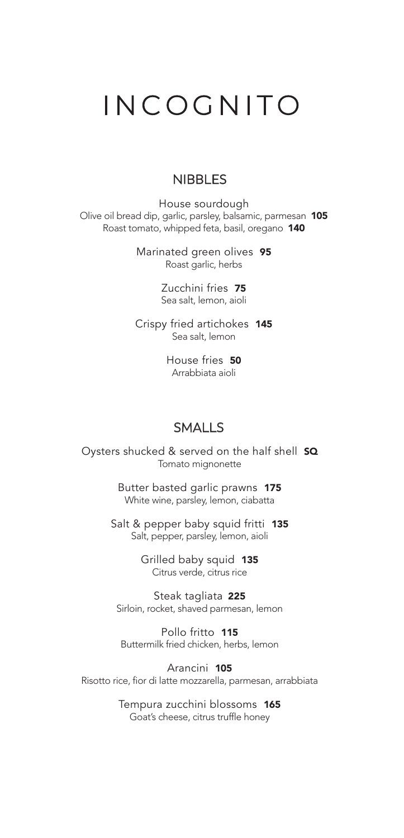# INCOGNITO

### **NIBBLES**

House sourdough Olive oil bread dip, garlic, parsley, balsamic, parmesan 105 Roast tomato, whipped feta, basil, oregano 140

> Marinated green olives 95 Roast garlic, herbs

> > Zucchini fries 75 Sea salt, lemon, aioli

Crispy fried artichokes 145 Sea salt, lemon

> House fries 50 Arrabbiata aioli

#### SMALLS

Oysters shucked & served on the half shell **SQ** Tomato mignonette

> Butter basted garlic prawns 175 White wine, parsley, lemon, ciabatta

Salt & pepper baby squid fritti 135 Salt, pepper, parsley, lemon, aioli

> Grilled baby squid 135 Citrus verde, citrus rice

Steak tagliata 225 Sirloin, rocket, shaved parmesan, lemon

Pollo fritto 115 Buttermilk fried chicken, herbs, lemon

Arancini 105 Risotto rice, fior di latte mozzarella, parmesan, arrabbiata

> Tempura zucchini blossoms 165 Goat's cheese, citrus truffle honey